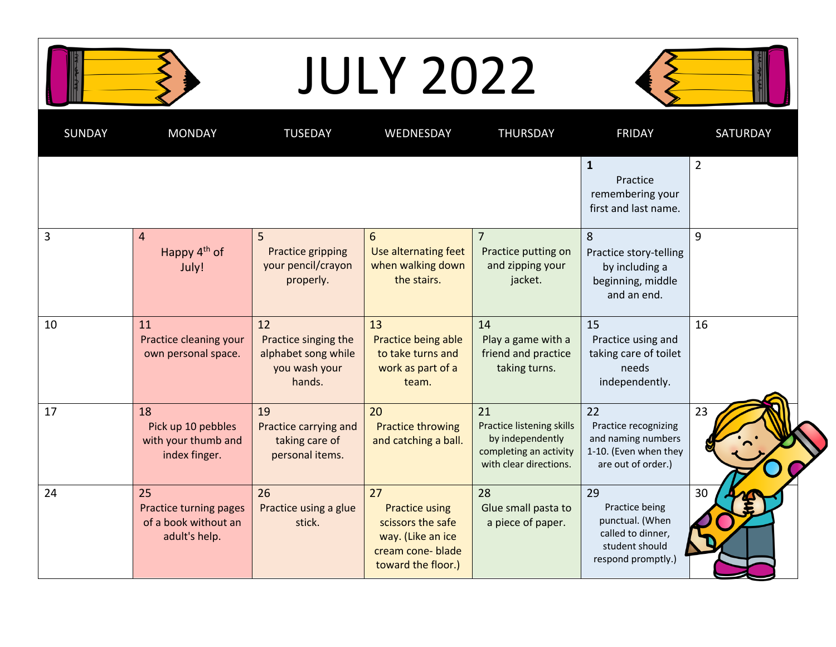| <b>JULY 2022</b> |  |
|------------------|--|
|------------------|--|



| <b>SUNDAY</b> | <b>MONDAY</b>                                                         | <b>TUSEDAY</b>                                                               | WEDNESDAY                                                                                                       | <b>THURSDAY</b>                                                                                         | <b>FRIDAY</b>                                                                                        | <b>SATURDAY</b> |
|---------------|-----------------------------------------------------------------------|------------------------------------------------------------------------------|-----------------------------------------------------------------------------------------------------------------|---------------------------------------------------------------------------------------------------------|------------------------------------------------------------------------------------------------------|-----------------|
|               |                                                                       |                                                                              |                                                                                                                 |                                                                                                         | $\mathbf{1}$<br>Practice<br>remembering your<br>first and last name.                                 | $\overline{2}$  |
| 3             | $\overline{4}$<br>Happy $4th$ of<br>July!                             | 5<br>Practice gripping<br>your pencil/crayon<br>properly.                    | $6\phantom{1}$<br>Use alternating feet<br>when walking down<br>the stairs.                                      | $\overline{7}$<br>Practice putting on<br>and zipping your<br>jacket.                                    | 8<br>Practice story-telling<br>by including a<br>beginning, middle<br>and an end.                    | 9               |
| 10            | 11<br>Practice cleaning your<br>own personal space.                   | 12<br>Practice singing the<br>alphabet song while<br>you wash your<br>hands. | 13<br>Practice being able<br>to take turns and<br>work as part of a<br>team.                                    | 14<br>Play a game with a<br>friend and practice<br>taking turns.                                        | 15<br>Practice using and<br>taking care of toilet<br>needs<br>independently.                         | 16              |
| 17            | 18<br>Pick up 10 pebbles<br>with your thumb and<br>index finger.      | 19<br>Practice carrying and<br>taking care of<br>personal items.             | 20<br><b>Practice throwing</b><br>and catching a ball.                                                          | 21<br>Practice listening skills<br>by independently<br>completing an activity<br>with clear directions. | 22<br>Practice recognizing<br>and naming numbers<br>1-10. (Even when they<br>are out of order.)      | 23              |
| 24            | 25<br>Practice turning pages<br>of a book without an<br>adult's help. | 26<br>Practice using a glue<br>stick.                                        | 27<br><b>Practice using</b><br>scissors the safe<br>way. (Like an ice<br>cream cone-blade<br>toward the floor.) | 28<br>Glue small pasta to<br>a piece of paper.                                                          | 29<br>Practice being<br>punctual. (When<br>called to dinner,<br>student should<br>respond promptly.) | 30              |